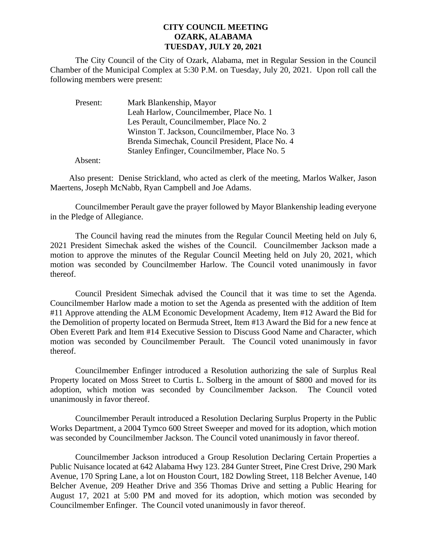## **CITY COUNCIL MEETING OZARK, ALABAMA TUESDAY, JULY 20, 2021**

The City Council of the City of Ozark, Alabama, met in Regular Session in the Council Chamber of the Municipal Complex at 5:30 P.M. on Tuesday, July 20, 2021. Upon roll call the following members were present:

| Present: | Mark Blankenship, Mayor                         |
|----------|-------------------------------------------------|
|          | Leah Harlow, Councilmember, Place No. 1         |
|          | Les Perault, Councilmember, Place No. 2         |
|          | Winston T. Jackson, Councilmember, Place No. 3  |
|          | Brenda Simechak, Council President, Place No. 4 |
|          | Stanley Enfinger, Councilmember, Place No. 5    |

Absent:

Also present: Denise Strickland, who acted as clerk of the meeting, Marlos Walker, Jason Maertens, Joseph McNabb, Ryan Campbell and Joe Adams.

Councilmember Perault gave the prayer followed by Mayor Blankenship leading everyone in the Pledge of Allegiance.

The Council having read the minutes from the Regular Council Meeting held on July 6, 2021 President Simechak asked the wishes of the Council. Councilmember Jackson made a motion to approve the minutes of the Regular Council Meeting held on July 20, 2021, which motion was seconded by Councilmember Harlow. The Council voted unanimously in favor thereof.

Council President Simechak advised the Council that it was time to set the Agenda. Councilmember Harlow made a motion to set the Agenda as presented with the addition of Item #11 Approve attending the ALM Economic Development Academy, Item #12 Award the Bid for the Demolition of property located on Bermuda Street, Item #13 Award the Bid for a new fence at Oben Everett Park and Item #14 Executive Session to Discuss Good Name and Character, which motion was seconded by Councilmember Perault. The Council voted unanimously in favor thereof.

Councilmember Enfinger introduced a Resolution authorizing the sale of Surplus Real Property located on Moss Street to Curtis L. Solberg in the amount of \$800 and moved for its adoption, which motion was seconded by Councilmember Jackson. The Council voted unanimously in favor thereof.

Councilmember Perault introduced a Resolution Declaring Surplus Property in the Public Works Department, a 2004 Tymco 600 Street Sweeper and moved for its adoption, which motion was seconded by Councilmember Jackson. The Council voted unanimously in favor thereof.

Councilmember Jackson introduced a Group Resolution Declaring Certain Properties a Public Nuisance located at 642 Alabama Hwy 123. 284 Gunter Street, Pine Crest Drive, 290 Mark Avenue, 170 Spring Lane, a lot on Houston Court, 182 Dowling Street, 118 Belcher Avenue, 140 Belcher Avenue, 209 Heather Drive and 356 Thomas Drive and setting a Public Hearing for August 17, 2021 at 5:00 PM and moved for its adoption, which motion was seconded by Councilmember Enfinger. The Council voted unanimously in favor thereof.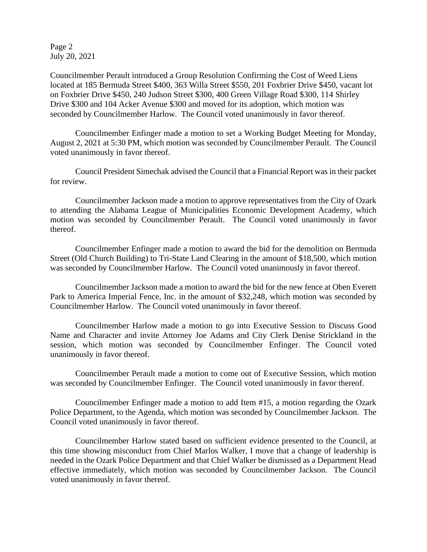Page 2 July 20, 2021

Councilmember Perault introduced a Group Resolution Confirming the Cost of Weed Liens located at 185 Bermuda Street \$400, 363 Willa Street \$550, 201 Foxbrier Drive \$450, vacant lot on Foxbrier Drive \$450, 240 Judson Street \$300, 400 Green Village Road \$300, 114 Shirley Drive \$300 and 104 Acker Avenue \$300 and moved for its adoption, which motion was seconded by Councilmember Harlow. The Council voted unanimously in favor thereof.

Councilmember Enfinger made a motion to set a Working Budget Meeting for Monday, August 2, 2021 at 5:30 PM, which motion was seconded by Councilmember Perault. The Council voted unanimously in favor thereof.

Council President Simechak advised the Council that a Financial Report was in their packet for review.

Councilmember Jackson made a motion to approve representatives from the City of Ozark to attending the Alabama League of Municipalities Economic Development Academy, which motion was seconded by Councilmember Perault. The Council voted unanimously in favor thereof.

Councilmember Enfinger made a motion to award the bid for the demolition on Bermuda Street (Old Church Building) to Tri-State Land Clearing in the amount of \$18,500, which motion was seconded by Councilmember Harlow. The Council voted unanimously in favor thereof.

Councilmember Jackson made a motion to award the bid for the new fence at Oben Everett Park to America Imperial Fence, Inc. in the amount of \$32,248, which motion was seconded by Councilmember Harlow. The Council voted unanimously in favor thereof.

Councilmember Harlow made a motion to go into Executive Session to Discuss Good Name and Character and invite Attorney Joe Adams and City Clerk Denise Strickland in the session, which motion was seconded by Councilmember Enfinger. The Council voted unanimously in favor thereof.

Councilmember Perault made a motion to come out of Executive Session, which motion was seconded by Councilmember Enfinger. The Council voted unanimously in favor thereof.

Councilmember Enfinger made a motion to add Item #15, a motion regarding the Ozark Police Department, to the Agenda, which motion was seconded by Councilmember Jackson. The Council voted unanimously in favor thereof.

Councilmember Harlow stated based on sufficient evidence presented to the Council, at this time showing misconduct from Chief Marlos Walker, I move that a change of leadership is needed in the Ozark Police Department and that Chief Walker be dismissed as a Department Head effective immediately, which motion was seconded by Councilmember Jackson. The Council voted unanimously in favor thereof.